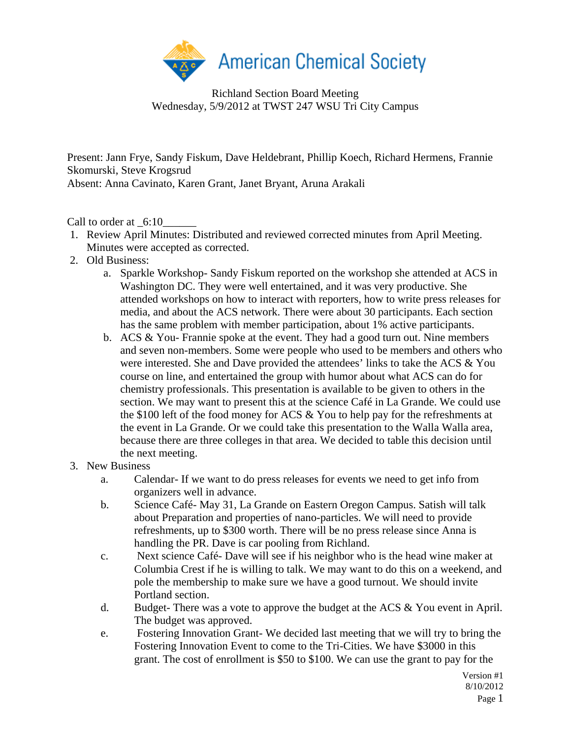

Richland Section Board Meeting Wednesday, 5/9/2012 at TWST 247 WSU Tri City Campus

Present: Jann Frye, Sandy Fiskum, Dave Heldebrant, Phillip Koech, Richard Hermens, Frannie Skomurski, Steve Krogsrud Absent: Anna Cavinato, Karen Grant, Janet Bryant, Aruna Arakali

Call to order at \_6:10

- 1. Review April Minutes: Distributed and reviewed corrected minutes from April Meeting. Minutes were accepted as corrected.
- 2. Old Business:
	- a. Sparkle Workshop- Sandy Fiskum reported on the workshop she attended at ACS in Washington DC. They were well entertained, and it was very productive. She attended workshops on how to interact with reporters, how to write press releases for media, and about the ACS network. There were about 30 participants. Each section has the same problem with member participation, about 1% active participants.
	- b. ACS & You- Frannie spoke at the event. They had a good turn out. Nine members and seven non-members. Some were people who used to be members and others who were interested. She and Dave provided the attendees' links to take the ACS & You course on line, and entertained the group with humor about what ACS can do for chemistry professionals. This presentation is available to be given to others in the section. We may want to present this at the science Café in La Grande. We could use the \$100 left of the food money for ACS & You to help pay for the refreshments at the event in La Grande. Or we could take this presentation to the Walla Walla area, because there are three colleges in that area. We decided to table this decision until the next meeting.
- 3. New Business
	- a. Calendar- If we want to do press releases for events we need to get info from organizers well in advance.
	- b. Science Café- May 31, La Grande on Eastern Oregon Campus. Satish will talk about Preparation and properties of nano-particles. We will need to provide refreshments, up to \$300 worth. There will be no press release since Anna is handling the PR. Dave is car pooling from Richland.
	- c. Next science Café- Dave will see if his neighbor who is the head wine maker at Columbia Crest if he is willing to talk. We may want to do this on a weekend, and pole the membership to make sure we have a good turnout. We should invite Portland section.
	- d. Budget- There was a vote to approve the budget at the ACS & You event in April. The budget was approved.
	- e. Fostering Innovation Grant- We decided last meeting that we will try to bring the Fostering Innovation Event to come to the Tri-Cities. We have \$3000 in this grant. The cost of enrollment is \$50 to \$100. We can use the grant to pay for the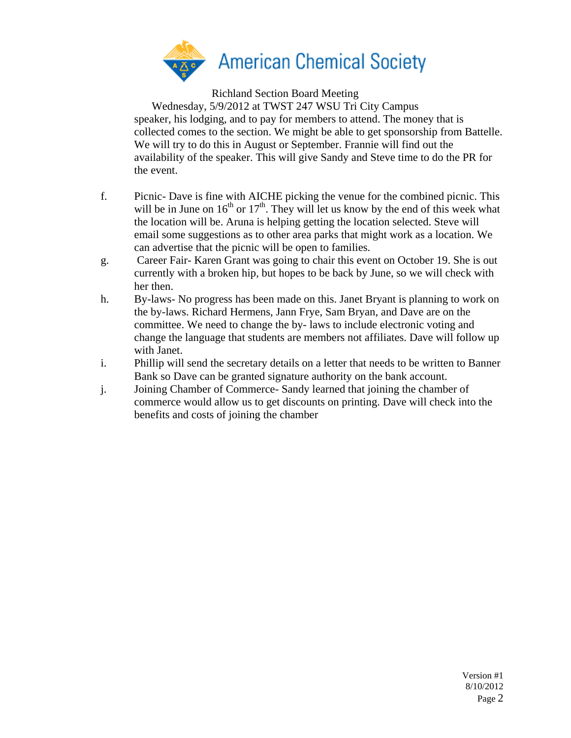

Richland Section Board Meeting

Wednesday, 5/9/2012 at TWST 247 WSU Tri City Campus speaker, his lodging, and to pay for members to attend. The money that is collected comes to the section. We might be able to get sponsorship from Battelle. We will try to do this in August or September. Frannie will find out the availability of the speaker. This will give Sandy and Steve time to do the PR for the event.

- f. Picnic- Dave is fine with AICHE picking the venue for the combined picnic. This will be in June on  $16<sup>th</sup>$  or  $17<sup>th</sup>$ . They will let us know by the end of this week what the location will be. Aruna is helping getting the location selected. Steve will email some suggestions as to other area parks that might work as a location. We can advertise that the picnic will be open to families.
- g. Career Fair- Karen Grant was going to chair this event on October 19. She is out currently with a broken hip, but hopes to be back by June, so we will check with her then.
- h. By-laws- No progress has been made on this. Janet Bryant is planning to work on the by-laws. Richard Hermens, Jann Frye, Sam Bryan, and Dave are on the committee. We need to change the by- laws to include electronic voting and change the language that students are members not affiliates. Dave will follow up with Janet.
- i. Phillip will send the secretary details on a letter that needs to be written to Banner Bank so Dave can be granted signature authority on the bank account.
- j. Joining Chamber of Commerce- Sandy learned that joining the chamber of commerce would allow us to get discounts on printing. Dave will check into the benefits and costs of joining the chamber